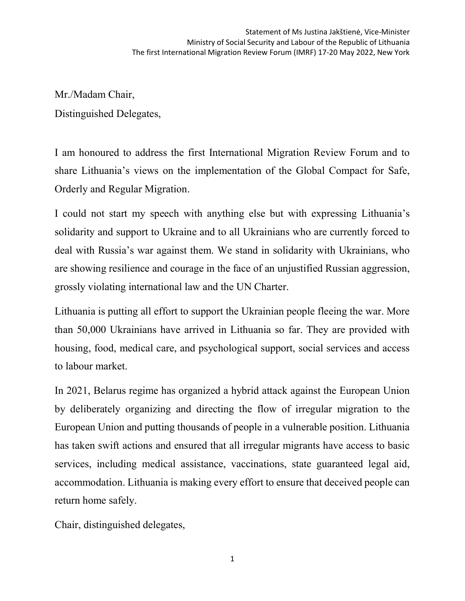Mr./Madam Chair, Distinguished Delegates,

I am honoured to address the first International Migration Review Forum and to share Lithuania's views on the implementation of the Global Compact for Safe, Orderly and Regular Migration.

I could not start my speech with anything else but with expressing Lithuania's solidarity and support to Ukraine and to all Ukrainians who are currently forced to deal with Russia's war against them. We stand in solidarity with Ukrainians, who are showing resilience and courage in the face of an unjustified Russian aggression, grossly violating international law and the UN Charter.

Lithuania is putting all effort to support the Ukrainian people fleeing the war. More than 50,000 Ukrainians have arrived in Lithuania so far. They are provided with housing, food, medical care, and psychological support, social services and access to labour market.

In 2021, Belarus regime has organized a hybrid attack against the European Union by deliberately organizing and directing the flow of irregular migration to the European Union and putting thousands of people in a vulnerable position. Lithuania has taken swift actions and ensured that all irregular migrants have access to basic services, including medical assistance, vaccinations, state guaranteed legal aid, accommodation. Lithuania is making every effort to ensure that deceived people can return home safely.

Chair, distinguished delegates,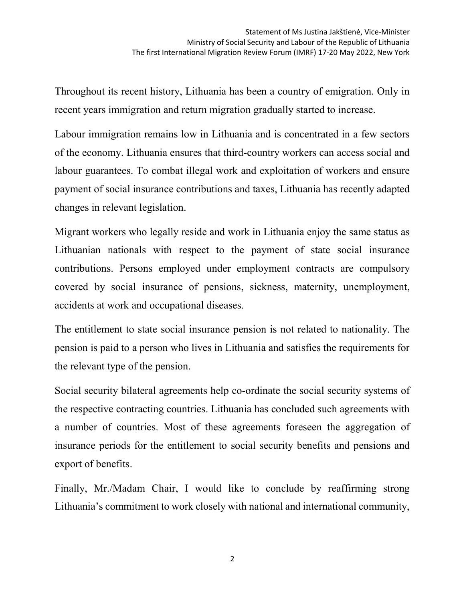Throughout its recent history, Lithuania has been a country of emigration. Only in recent years immigration and return migration gradually started to increase.

Labour immigration remains low in Lithuania and is concentrated in a few sectors of the economy. Lithuania ensures that third-country workers can access social and labour guarantees. To combat illegal work and exploitation of workers and ensure payment of social insurance contributions and taxes, Lithuania has recently adapted changes in relevant legislation.

Migrant workers who legally reside and work in Lithuania enjoy the same status as Lithuanian nationals with respect to the payment of state social insurance contributions. Persons employed under employment contracts are compulsory covered by social insurance of pensions, sickness, maternity, unemployment, accidents at work and occupational diseases.

The entitlement to state social insurance pension is not related to nationality. The pension is paid to a person who lives in Lithuania and satisfies the requirements for the relevant type of the pension.

Social security bilateral agreements help co-ordinate the social security systems of the respective contracting countries. Lithuania has concluded such agreements with a number of countries. Most of these agreements foreseen the aggregation of insurance periods for the entitlement to social security benefits and pensions and export of benefits.

Finally, Mr./Madam Chair, I would like to conclude by reaffirming strong Lithuania's commitment to work closely with national and international community,